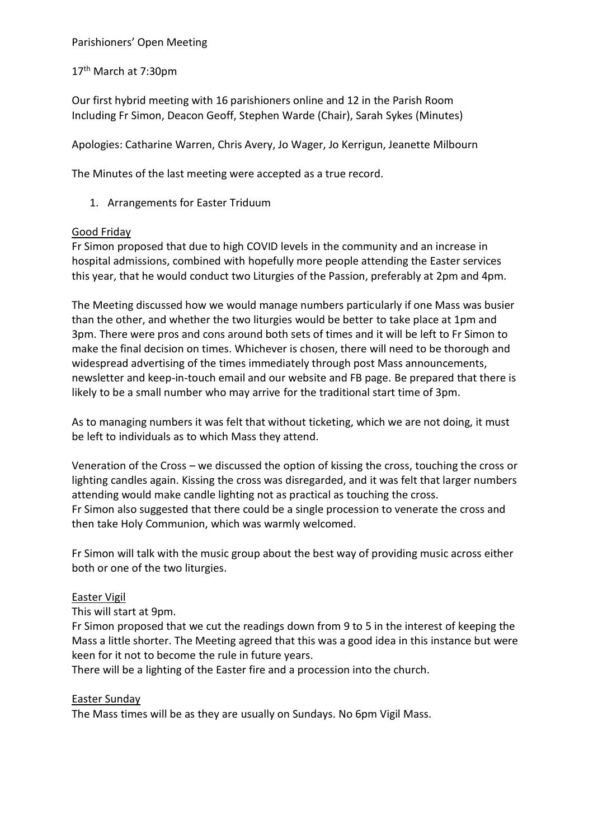Parishioners' Open Meeting

17<sup>th</sup> March at 7:30pm

Our first hybrid meeting with 16 parishioners online and 12 in the Parish Room Including Fr Simon, Deacon Geoff, Stephen Warde (Chair), Sarah Sykes (Minutes)

Apologies: Catharine Warren, Chris Avery, Jo Wager, Jo Kerrigun, Jeanette Milbourn

The Minutes of the last meeting were accepted as a true record.

1. Arrangements for Easter Triduum

### Good Friday

Fr Simon proposed that due to high COVID levels in the community and an increase in hospital admissions, combined with hopefully more people attending the Easter services this year, that he would conduct two Liturgies of the Passion, preferably at 2pm and 4pm.

The Meeting discussed how we would manage numbers particularly if one Mass was busier than the other, and whether the two liturgies would be better to take place at 1pm and 3pm. There were pros and cons around both sets of times and it will be left to Fr Simon to make the final decision on times. Whichever is chosen, there will need to be thorough and widespread advertising of the times immediately through post Mass announcements, newsletter and keep-in-touch email and our website and FB page. Be prepared that there is likely to be a small number who may arrive for the traditional start time of 3pm.

As to managing numbers it was felt that without ticketing, which we are not doing, it must be left to individuals as to which Mass they attend.

Veneration of the Cross – we discussed the option of kissing the cross, touching the cross or lighting candles again. Kissing the cross was disregarded, and it was felt that larger numbers attending would make candle lighting not as practical as touching the cross. Fr Simon also suggested that there could be a single procession to venerate the cross and then take Holy Communion, which was warmly welcomed.

Fr Simon will talk with the music group about the best way of providing music across either both or one of the two liturgies.

### Easter Vigil

This will start at 9pm.

Fr Simon proposed that we cut the readings down from 9 to 5 in the interest of keeping the Mass a little shorter. The Meeting agreed that this was a good idea in this instance but were keen for it not to become the rule in future years.

There will be a lighting of the Easter fire and a procession into the church.

### Easter Sunday

The Mass times will be as they are usually on Sundays. No 6pm Vigil Mass.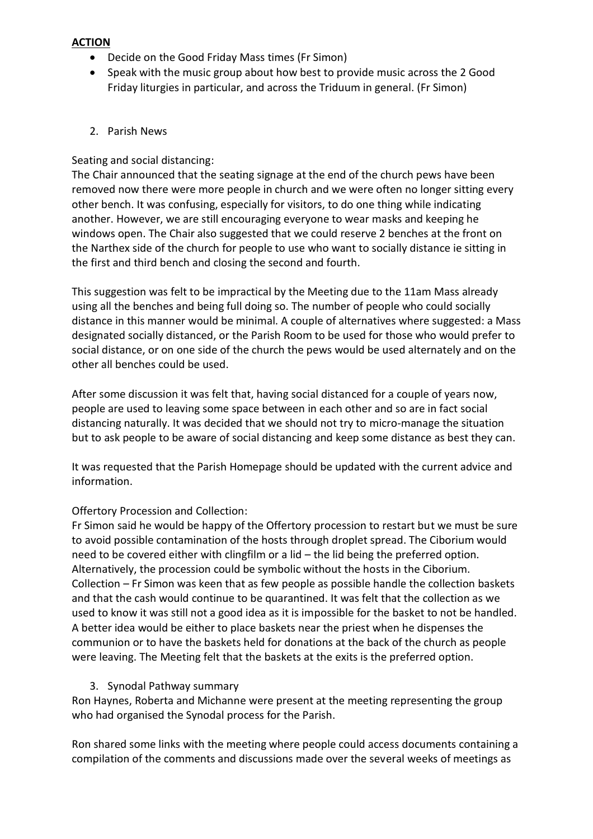### **ACTION**

- Decide on the Good Friday Mass times (Fr Simon)
- Speak with the music group about how best to provide music across the 2 Good Friday liturgies in particular, and across the Triduum in general. (Fr Simon)

## 2. Parish News

### Seating and social distancing:

The Chair announced that the seating signage at the end of the church pews have been removed now there were more people in church and we were often no longer sitting every other bench. It was confusing, especially for visitors, to do one thing while indicating another. However, we are still encouraging everyone to wear masks and keeping he windows open. The Chair also suggested that we could reserve 2 benches at the front on the Narthex side of the church for people to use who want to socially distance ie sitting in the first and third bench and closing the second and fourth.

This suggestion was felt to be impractical by the Meeting due to the 11am Mass already using all the benches and being full doing so. The number of people who could socially distance in this manner would be minimal. A couple of alternatives where suggested: a Mass designated socially distanced, or the Parish Room to be used for those who would prefer to social distance, or on one side of the church the pews would be used alternately and on the other all benches could be used.

After some discussion it was felt that, having social distanced for a couple of years now, people are used to leaving some space between in each other and so are in fact social distancing naturally. It was decided that we should not try to micro-manage the situation but to ask people to be aware of social distancing and keep some distance as best they can.

It was requested that the Parish Homepage should be updated with the current advice and information.

# Offertory Procession and Collection:

Fr Simon said he would be happy of the Offertory procession to restart but we must be sure to avoid possible contamination of the hosts through droplet spread. The Ciborium would need to be covered either with clingfilm or a lid – the lid being the preferred option. Alternatively, the procession could be symbolic without the hosts in the Ciborium. Collection – Fr Simon was keen that as few people as possible handle the collection baskets and that the cash would continue to be quarantined. It was felt that the collection as we used to know it was still not a good idea as it is impossible for the basket to not be handled. A better idea would be either to place baskets near the priest when he dispenses the communion or to have the baskets held for donations at the back of the church as people were leaving. The Meeting felt that the baskets at the exits is the preferred option.

### 3. Synodal Pathway summary

Ron Haynes, Roberta and Michanne were present at the meeting representing the group who had organised the Synodal process for the Parish.

Ron shared some links with the meeting where people could access documents containing a compilation of the comments and discussions made over the several weeks of meetings as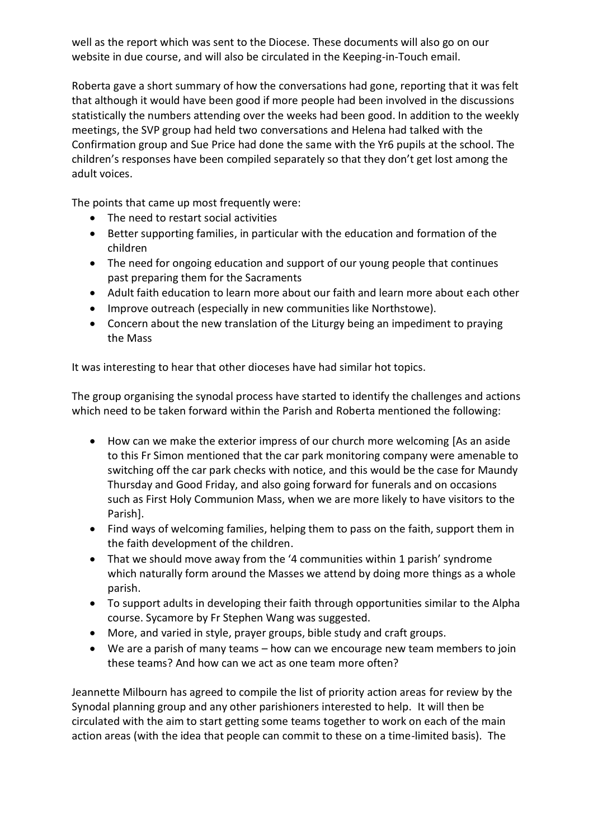well as the report which was sent to the Diocese. These documents will also go on our website in due course, and will also be circulated in the Keeping-in-Touch email.

Roberta gave a short summary of how the conversations had gone, reporting that it was felt that although it would have been good if more people had been involved in the discussions statistically the numbers attending over the weeks had been good. In addition to the weekly meetings, the SVP group had held two conversations and Helena had talked with the Confirmation group and Sue Price had done the same with the Yr6 pupils at the school. The children's responses have been compiled separately so that they don't get lost among the adult voices.

The points that came up most frequently were:

- The need to restart social activities
- Better supporting families, in particular with the education and formation of the children
- The need for ongoing education and support of our young people that continues past preparing them for the Sacraments
- Adult faith education to learn more about our faith and learn more about each other
- Improve outreach (especially in new communities like Northstowe).
- Concern about the new translation of the Liturgy being an impediment to praying the Mass

It was interesting to hear that other dioceses have had similar hot topics.

The group organising the synodal process have started to identify the challenges and actions which need to be taken forward within the Parish and Roberta mentioned the following:

- How can we make the exterior impress of our church more welcoming [As an aside to this Fr Simon mentioned that the car park monitoring company were amenable to switching off the car park checks with notice, and this would be the case for Maundy Thursday and Good Friday, and also going forward for funerals and on occasions such as First Holy Communion Mass, when we are more likely to have visitors to the Parish].
- Find ways of welcoming families, helping them to pass on the faith, support them in the faith development of the children.
- That we should move away from the '4 communities within 1 parish' syndrome which naturally form around the Masses we attend by doing more things as a whole parish.
- To support adults in developing their faith through opportunities similar to the Alpha course. Sycamore by Fr Stephen Wang was suggested.
- More, and varied in style, prayer groups, bible study and craft groups.
- We are a parish of many teams how can we encourage new team members to join these teams? And how can we act as one team more often?

Jeannette Milbourn has agreed to compile the list of priority action areas for review by the Synodal planning group and any other parishioners interested to help. It will then be circulated with the aim to start getting some teams together to work on each of the main action areas (with the idea that people can commit to these on a time-limited basis). The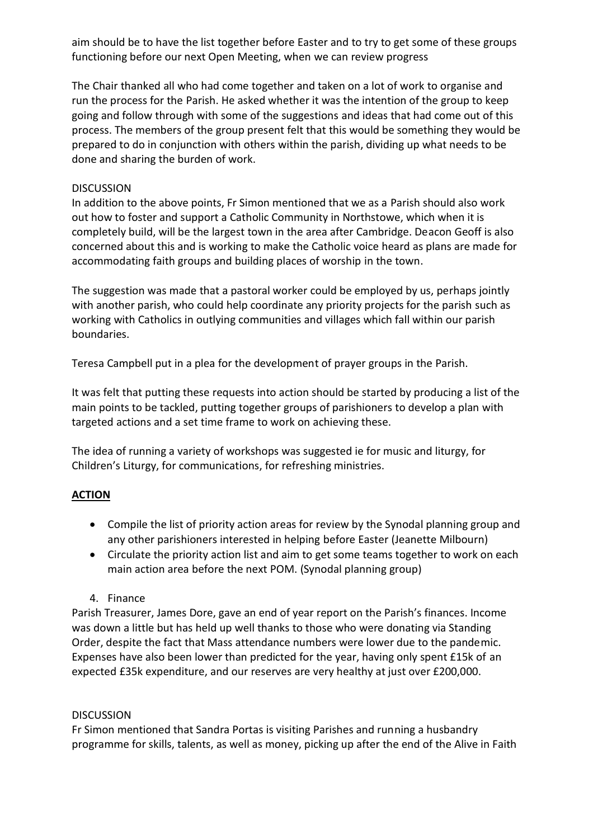aim should be to have the list together before Easter and to try to get some of these groups functioning before our next Open Meeting, when we can review progress

The Chair thanked all who had come together and taken on a lot of work to organise and run the process for the Parish. He asked whether it was the intention of the group to keep going and follow through with some of the suggestions and ideas that had come out of this process. The members of the group present felt that this would be something they would be prepared to do in conjunction with others within the parish, dividing up what needs to be done and sharing the burden of work.

## **DISCUSSION**

In addition to the above points, Fr Simon mentioned that we as a Parish should also work out how to foster and support a Catholic Community in Northstowe, which when it is completely build, will be the largest town in the area after Cambridge. Deacon Geoff is also concerned about this and is working to make the Catholic voice heard as plans are made for accommodating faith groups and building places of worship in the town.

The suggestion was made that a pastoral worker could be employed by us, perhaps jointly with another parish, who could help coordinate any priority projects for the parish such as working with Catholics in outlying communities and villages which fall within our parish boundaries.

Teresa Campbell put in a plea for the development of prayer groups in the Parish.

It was felt that putting these requests into action should be started by producing a list of the main points to be tackled, putting together groups of parishioners to develop a plan with targeted actions and a set time frame to work on achieving these.

The idea of running a variety of workshops was suggested ie for music and liturgy, for Children's Liturgy, for communications, for refreshing ministries.

# **ACTION**

- Compile the list of priority action areas for review by the Synodal planning group and any other parishioners interested in helping before Easter (Jeanette Milbourn)
- Circulate the priority action list and aim to get some teams together to work on each main action area before the next POM. (Synodal planning group)
- 4. Finance

Parish Treasurer, James Dore, gave an end of year report on the Parish's finances. Income was down a little but has held up well thanks to those who were donating via Standing Order, despite the fact that Mass attendance numbers were lower due to the pandemic. Expenses have also been lower than predicted for the year, having only spent £15k of an expected £35k expenditure, and our reserves are very healthy at just over £200,000.

### **DISCUSSION**

Fr Simon mentioned that Sandra Portas is visiting Parishes and running a husbandry programme for skills, talents, as well as money, picking up after the end of the Alive in Faith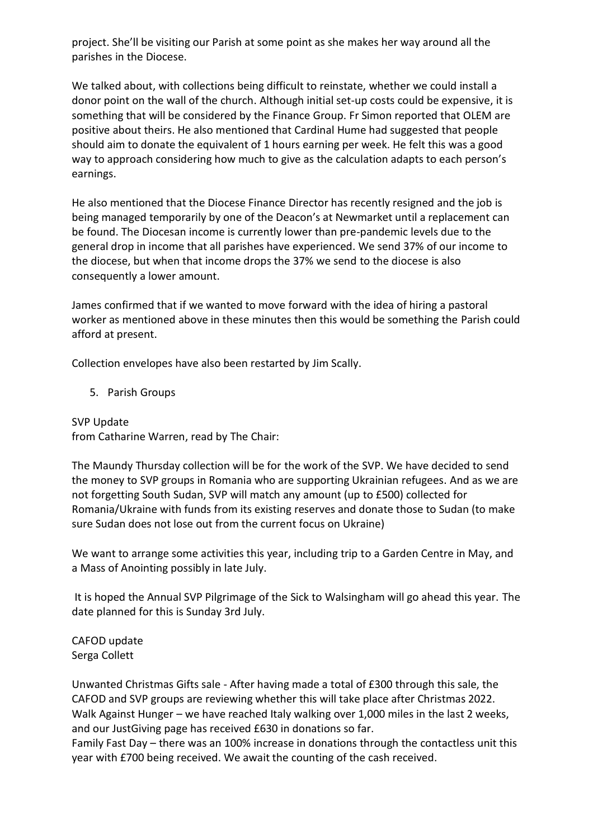project. She'll be visiting our Parish at some point as she makes her way around all the parishes in the Diocese.

We talked about, with collections being difficult to reinstate, whether we could install a donor point on the wall of the church. Although initial set-up costs could be expensive, it is something that will be considered by the Finance Group. Fr Simon reported that OLEM are positive about theirs. He also mentioned that Cardinal Hume had suggested that people should aim to donate the equivalent of 1 hours earning per week. He felt this was a good way to approach considering how much to give as the calculation adapts to each person's earnings.

He also mentioned that the Diocese Finance Director has recently resigned and the job is being managed temporarily by one of the Deacon's at Newmarket until a replacement can be found. The Diocesan income is currently lower than pre-pandemic levels due to the general drop in income that all parishes have experienced. We send 37% of our income to the diocese, but when that income drops the 37% we send to the diocese is also consequently a lower amount.

James confirmed that if we wanted to move forward with the idea of hiring a pastoral worker as mentioned above in these minutes then this would be something the Parish could afford at present.

Collection envelopes have also been restarted by Jim Scally.

# 5. Parish Groups

SVP Update from Catharine Warren, read by The Chair:

The Maundy Thursday collection will be for the work of the SVP. We have decided to send the money to SVP groups in Romania who are supporting Ukrainian refugees. And as we are not forgetting South Sudan, SVP will match any amount (up to £500) collected for Romania/Ukraine with funds from its existing reserves and donate those to Sudan (to make sure Sudan does not lose out from the current focus on Ukraine)

We want to arrange some activities this year, including trip to a Garden Centre in May, and a Mass of Anointing possibly in late July.

It is hoped the Annual SVP Pilgrimage of the Sick to Walsingham will go ahead this year. The date planned for this is Sunday 3rd July.

CAFOD update Serga Collett

Unwanted Christmas Gifts sale - After having made a total of £300 through this sale, the CAFOD and SVP groups are reviewing whether this will take place after Christmas 2022. Walk Against Hunger – we have reached Italy walking over 1,000 miles in the last 2 weeks, and our JustGiving page has received £630 in donations so far.

Family Fast Day – there was an 100% increase in donations through the contactless unit this year with £700 being received. We await the counting of the cash received.